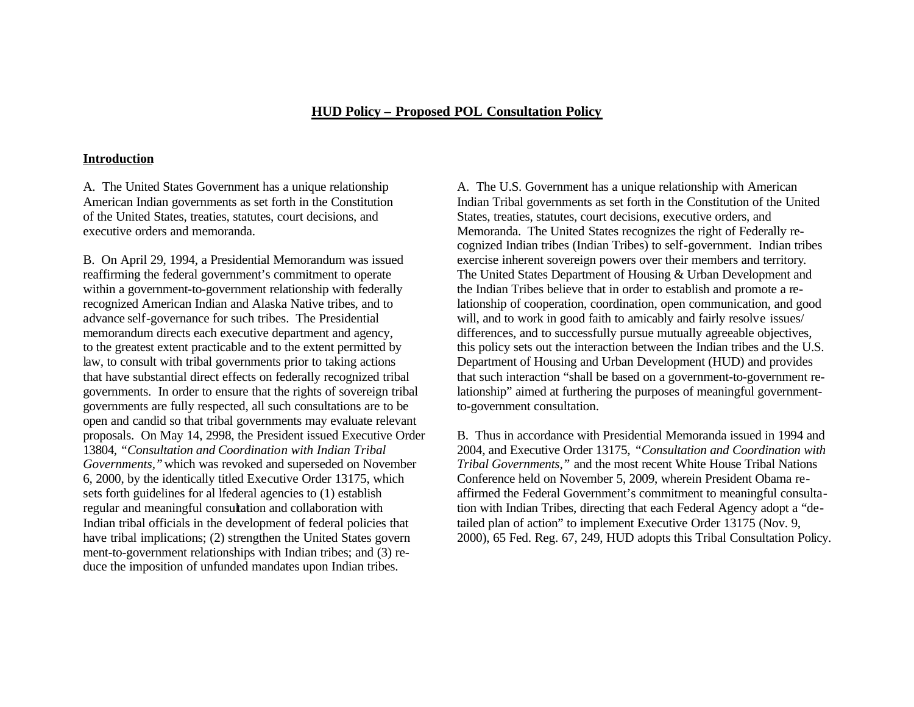# **HUD Policy – Proposed POL Consultation Policy**

### **Introduction**

governments are fully respected, all such consultations are to be to-government consultation. open and candid so that tribal governments may evaluate relevant proposals. On May 14, 2998, the President issued Executive Order B. Thus in accordance with Presidential Memoranda issued in 1994 and ment-to-government relationships with Indian tribes; and (3) reduce the imposition of unfunded mandates upon Indian tribes.

A. The United States Government has a unique relationship A. The U.S. Government has a unique relationship with American American Indian governments as set forth in the Constitution Indian Tribal governments as set forth in the Constitution of the United of the United States, treaties, statutes, court decisions, and States, treaties, statutes, court decisions, executive orders, and executive orders and memoranda. Memoranda. The United States recognizes the right of Federally recognized Indian tribes (Indian Tribes) to self-government. Indian tribes B. On April 29, 1994, a Presidential Memorandum was issued exercise inherent sovereign powers over their members and territory. reaffirming the federal government's commitment to operate The United States Department of Housing & Urban Development and within a government-to-government relationship with federally the Indian Tribes believe that in order to establish and promote a rerecognized American Indian and Alaska Native tribes, and to lationship of cooperation, coordination, open communication, and good advance self-governance for such tribes. The Presidential will, and to work in good faith to amicably and fairly resolve issues/ memorandum directs each executive department and agency, differences, and to successfully pursue mutually agreeable objectives, to the greatest extent practicable and to the extent permitted by this policy sets out the interaction between the Indian tribes and the U.S. law, to consult with tribal governments prior to taking actions Department of Housing and Urban Development (HUD) and provides that have substantial direct effects on federally recognized tribal that such interaction "shall be based on a government-to-government regovernments. In order to ensure that the rights of sovereign tribal lationship" aimed at furthering the purposes of meaningful government-

13804, *"Consultation and Coordination with Indian Tribal* 2004, and Executive Order 13175, *"Consultation and Coordination with Governments,"*which was revoked and superseded on November *Tribal Governments,"* and the most recent White House Tribal Nations 6, 2000, by the identically titled Executive Order 13175, which Conference held on November 5, 2009, wherein President Obama resets forth guidelines for al lfederal agencies to (1) establish affirmed the Federal Government's commitment to meaningful consultaregular and meaningful consultation and collaboration with tion with Indian Tribes, directing that each Federal Agency adopt a "de-Indian tribal officials in the development of federal policies that tailed plan of action" to implement Executive Order 13175 (Nov. 9, have tribal implications; (2) strengthen the United States govern 2000), 65 Fed. Reg. 67, 249, HUD adopts this Tribal Consultation Policy.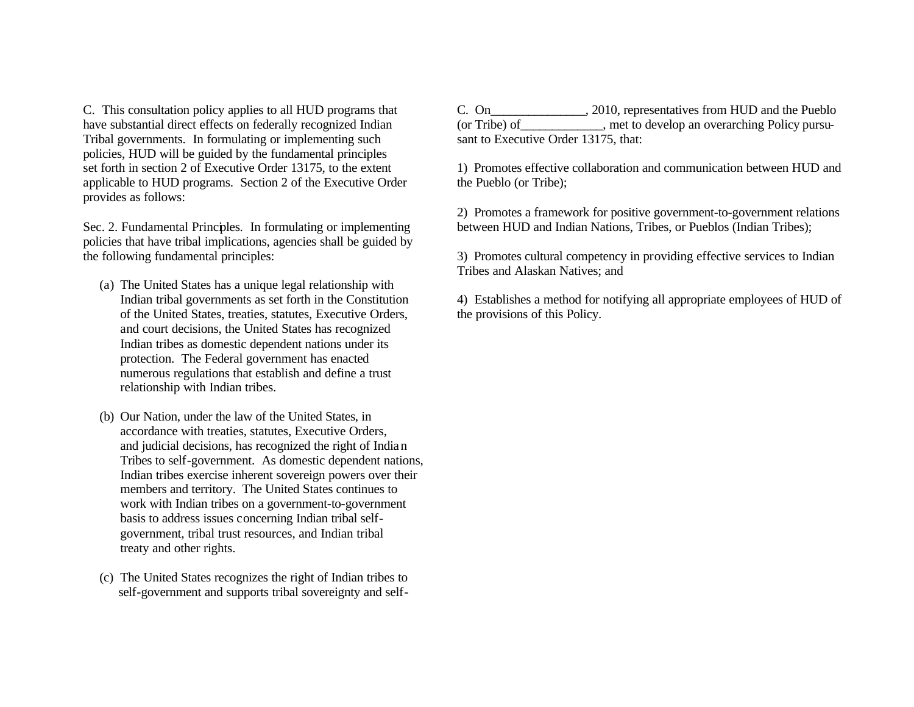Tribal governments. In formulating or implementing such sant to Executive Order 13175, that: policies, HUD will be guided by the fundamental principles applicable to HUD programs. Section 2 of the Executive Order the Pueblo (or Tribe); provides as follows:

policies that have tribal implications, agencies shall be guided by

- (a) The United States has a unique legal relationship with of the United States, treaties, statutes, Executive Orders, the provisions of this Policy. and court decisions, the United States has recognized Indian tribes as domestic dependent nations under its protection. The Federal government has enacted numerous regulations that establish and define a trust relationship with Indian tribes.
- (b) Our Nation, under the law of the United States, in accordance with treaties, statutes, Executive Orders, and judicial decisions, has recognized the right of Indian Tribes to self-government. As domestic dependent nations, Indian tribes exercise inherent sovereign powers over their members and territory. The United States continues to work with Indian tribes on a government-to-government basis to address issues concerning Indian tribal selfgovernment, tribal trust resources, and Indian tribal treaty and other rights.
- (c) The United States recognizes the right of Indian tribes to self-government and supports tribal sovereignty and self-

C. This consultation policy applies to all HUD programs that C. On\_\_\_\_\_\_\_\_\_\_\_\_\_, 2010, representatives from HUD and the Pueblo have substantial direct effects on federally recognized Indian (or Tribe) of entity and the develop an overarching Policy pursu-

set forth in section 2 of Executive Order 13175, to the extent 1) Promotes effective collaboration and communication between HUD and

2) Promotes a framework for positive government-to-government relations Sec. 2. Fundamental Principles. In formulating or implementing between HUD and Indian Nations, Tribes, or Pueblos (Indian Tribes);

the following fundamental principles: 3) Promotes cultural competency in providing effective services to Indian Tribes and Alaskan Natives; and

Indian tribal governments as set forth in the Constitution 4) Establishes a method for notifying all appropriate employees of HUD of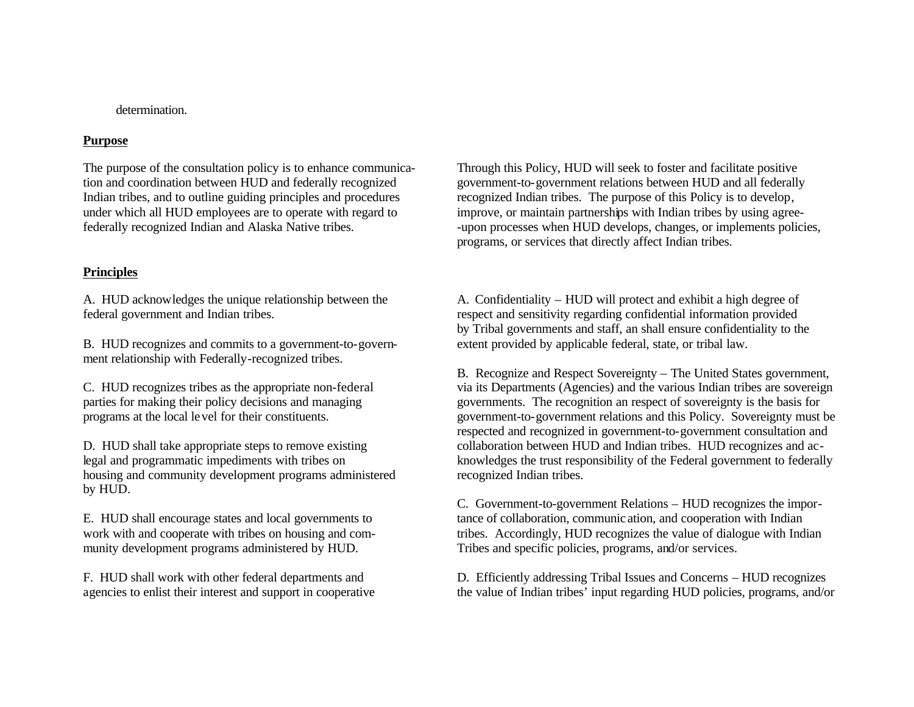## determination.

### **Purpose**

## **Principles**

ment relationship with Federally-recognized tribes.

housing and community development programs administered recognized Indian tribes. by HUD.

munity development programs administered by HUD. Tribes and specific policies, programs, and/or services.

The purpose of the consultation policy is to enhance communica- Through this Policy, HUD will seek to foster and facilitate positive tion and coordination between HUD and federally recognized government-to-government relations between HUD and all federally Indian tribes, and to outline guiding principles and procedures recognized Indian tribes. The purpose of this Policy is to develop, under which all HUD employees are to operate with regard to improve, or maintain partnerships with Indian tribes by using agreefederally recognized Indian and Alaska Native tribes.  $\blacksquare$  -upon processes when HUD develops, changes, or implements policies, programs, or services that directly affect Indian tribes.

A. HUD acknowledges the unique relationship between the A. Confidentiality – HUD will protect and exhibit a high degree of federal government and Indian tribes. respect and sensitivity regarding confidential information provided by Tribal governments and staff, an shall ensure confidentiality to the B. HUD recognizes and commits to a government-to-govern- extent provided by applicable federal, state, or tribal law.

B. Recognize and Respect Sovereignty – The United States government, C. HUD recognizes tribes as the appropriate non-federal via its Departments (Agencies) and the various Indian tribes are sovereign parties for making their policy decisions and managing governments. The recognition an respect of sovereignty is the basis for programs at the local level for their constituents. government-to-government relations and this Policy. Sovereignty must be respected and recognized in government-to-government consultation and D. HUD shall take appropriate steps to remove existing collaboration between HUD and Indian tribes. HUD recognizes and aclegal and programmatic impediments with tribes on knowledges the trust responsibility of the Federal government to federally

C. Government-to-government Relations – HUD recognizes the impor-E. HUD shall encourage states and local governments to tance of collaboration, communic ation, and cooperation with Indian work with and cooperate with tribes on housing and com-<br>tribes. Accordingly, HUD recognizes the value of dialogue with Indian

F. HUD shall work with other federal departments and D. Efficiently addressing Tribal Issues and Concerns – HUD recognizes agencies to enlist their interest and support in cooperative the value of Indian tribes' input regarding HUD policies, programs, and/or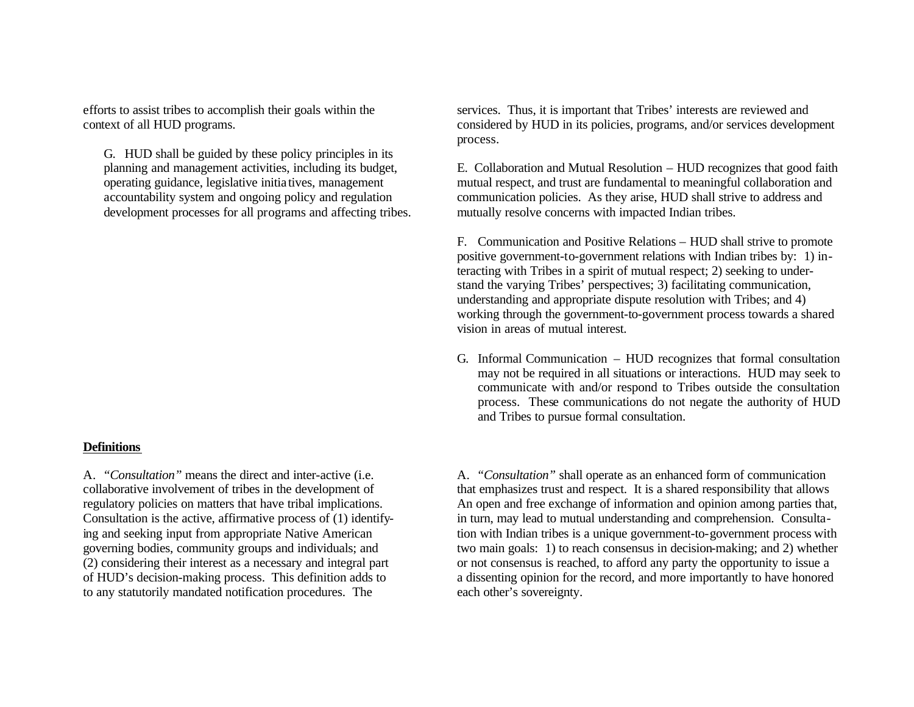G. HUD shall be guided by these policy principles in its development processes for all programs and affecting tribes. mutually resolve concerns with impacted Indian tribes.

### **Definitions**

to any statutorily mandated notification procedures. The each other's sovereignty.

efforts to assist tribes to accomplish their goals within the services. Thus, it is important that Tribes' interests are reviewed and context of all HUD programs. considered by HUD in its policies, programs, and/or services development process.

planning and management activities, including its budget, E. Collaboration and Mutual Resolution – HUD recognizes that good faith operating guidance, legislative initia tives, management mutual respect, and trust are fundamental to meaningful collaboration and accountability system and ongoing policy and regulation communication policies. As they arise, HUD shall strive to address and

> F. Communication and Positive Relations – HUD shall strive to promote positive government-to-government relations with Indian tribes by: 1) interacting with Tribes in a spirit of mutual respect; 2) seeking to understand the varying Tribes' perspectives; 3) facilitating communication, understanding and appropriate dispute resolution with Tribes; and 4) working through the government-to-government process towards a shared vision in areas of mutual interest.

G. Informal Communication – HUD recognizes that formal consultation may not be required in all situations or interactions. HUD may seek to communicate with and/or respond to Tribes outside the consultation process. These communications do not negate the authority of HUD and Tribes to pursue formal consultation.

A. *"Consultation"* means the direct and inter-active (i.e. A. *"Consultation"* shall operate as an enhanced form of communication collaborative involvement of tribes in the development of that emphasizes trust and respect. It is a shared responsibility that allows regulatory policies on matters that have tribal implications. An open and free exchange of information and opinion among parties that, Consultation is the active, affirmative process of (1) identify- in turn, may lead to mutual understanding and comprehension. Consultaing and seeking input from appropriate Native American tion with Indian tribes is a unique government-to-government process with governing bodies, community groups and individuals; and two main goals: 1) to reach consensus in decision-making; and 2) whether (2) considering their interest as a necessary and integral part or not consensus is reached, to afford any party the opportunity to issue a of HUD's decision-making process. This definition adds to a dissenting opinion for the record, and more importantly to have honored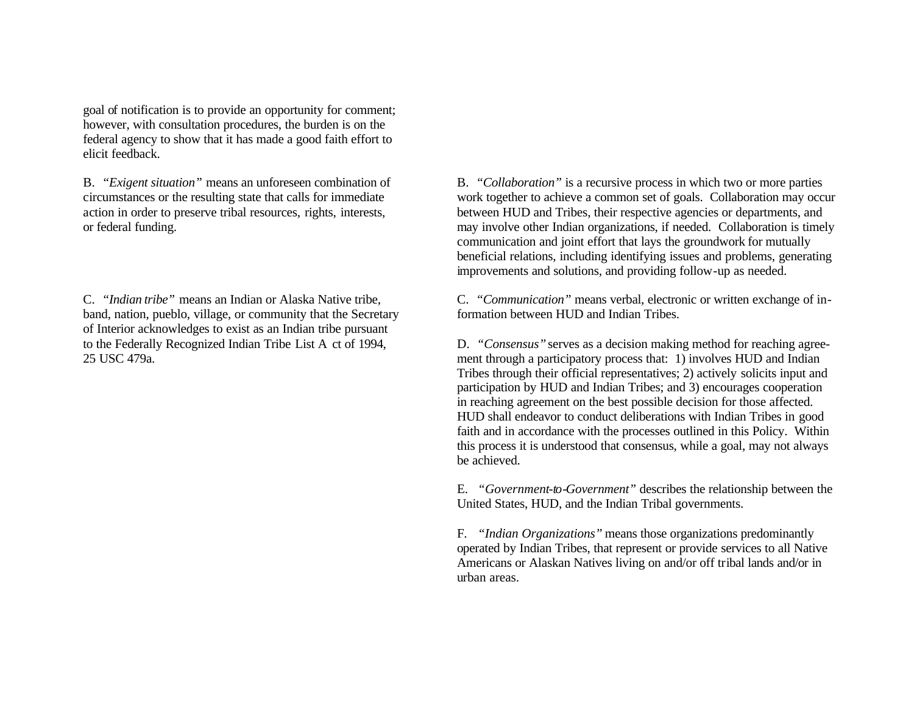goal of notification is to provide an opportunity for comment; however, with consultation procedures, the burden is on the federal agency to show that it has made a good faith effort to elicit feedback.

band, nation, pueblo, village, or community that the Secretary formation between HUD and Indian Tribes. of Interior acknowledges to exist as an Indian tribe pursuant

B. *"Exigent situation"* means an unforeseen combination of B. *"Collaboration"* is a recursive process in which two or more parties circumstances or the resulting state that calls for immediate work together to achieve a common set of goals. Collaboration may occur action in order to preserve tribal resources, rights, interests, between HUD and Tribes, their respective agencies or departments, and or federal funding. may involve other Indian organizations, if needed. Collaboration is timely communication and joint effort that lays the groundwork for mutually beneficial relations, including identifying issues and problems, generating improvements and solutions, and providing follow-up as needed.

C. *"Indian tribe"* means an Indian or Alaska Native tribe, C. *"Communication"* means verbal, electronic or written exchange of in-

to the Federally Recognized Indian Tribe List A ct of 1994, D. *"Consensus"*serves as a decision making method for reaching agree-25 USC 479a. ment through a participatory process that: 1) involves HUD and Indian Tribes through their official representatives; 2) actively solicits input and participation by HUD and Indian Tribes; and 3) encourages cooperation in reaching agreement on the best possible decision for those affected. HUD shall endeavor to conduct deliberations with Indian Tribes in good faith and in accordance with the processes outlined in this Policy. Within this process it is understood that consensus, while a goal, may not always be achieved.

> E. *"Government-to-Government"* describes the relationship between the United States, HUD, and the Indian Tribal governments.

F. *"Indian Organizations"* means those organizations predominantly operated by Indian Tribes, that represent or provide services to all Native Americans or Alaskan Natives living on and/or off tribal lands and/or in urban areas.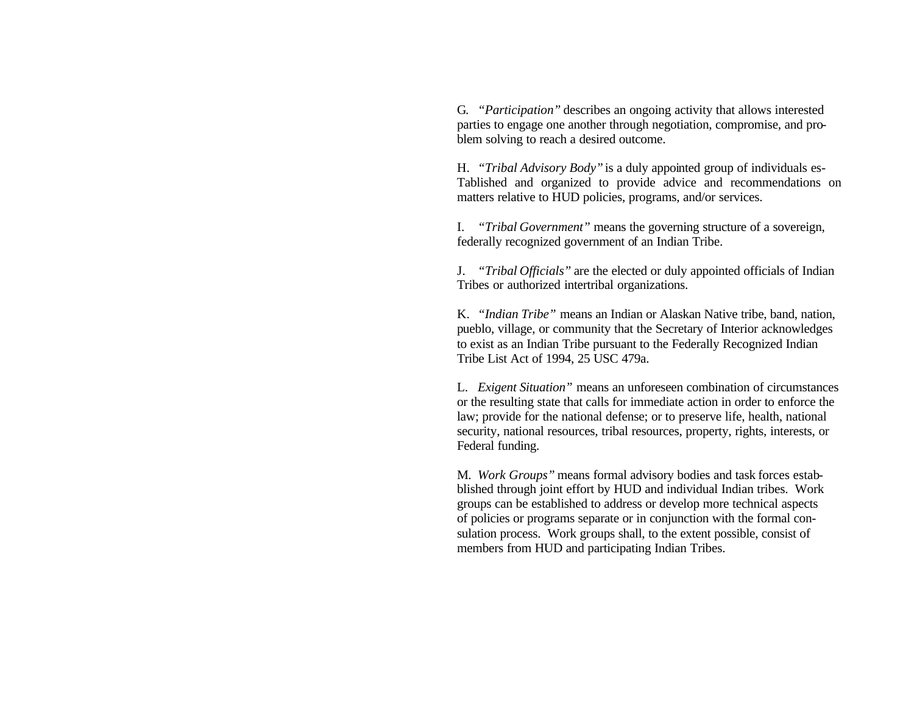G. *"Participation"* describes an ongoing activity that allows interested parties to engage one another through negotiation, compromise, and problem solving to reach a desired outcome.

H. *"Tribal Advisory Body"*is a duly appointed group of individuals es-Tablished and organized to provide advice and recommendations on matters relative to HUD policies, programs, and/or services.

I. *"Tribal Government"* means the governing structure of a sovereign, federally recognized government of an Indian Tribe.

J. *"Tribal Officials"* are the elected or duly appointed officials of Indian Tribes or authorized intertribal organizations.

K. *"Indian Tribe"* means an Indian or Alaskan Native tribe, band, nation, pueblo, village, or community that the Secretary of Interior acknowledges to exist as an Indian Tribe pursuant to the Federally Recognized Indian Tribe List Act of 1994, 25 USC 479a.

L. *Exigent Situation"* means an unforeseen combination of circumstances or the resulting state that calls for immediate action in order to enforce the law; provide for the national defense; or to preserve life, health, national security, national resources, tribal resources, property, rights, interests, or Federal funding.

M. *Work Groups"* means formal advisory bodies and task forces estabblished through joint effort by HUD and individual Indian tribes. Work groups can be established to address or develop more technical aspects of policies or programs separate or in conjunction with the formal consulation process. Work groups shall, to the extent possible, consist of members from HUD and participating Indian Tribes.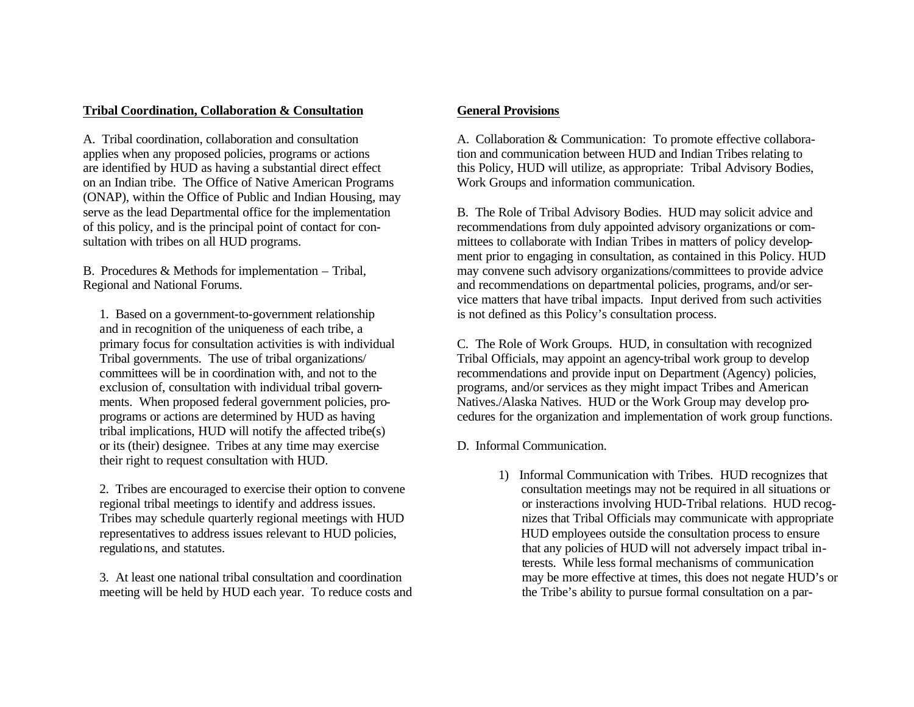## **Tribal Coordination, Collaboration & Consultation 6 General Provisions**

on an Indian tribe. The Office of Native American Programs Work Groups and information communication. (ONAP), within the Office of Public and Indian Housing, may

 1. Based on a government-to-government relationship is not defined as this Policy's consultation process. and in recognition of the uniqueness of each tribe, a tribal implications, HUD will notify the affected tribe(s) or its (their) designee. Tribes at any time may exercise D. Informal Communication. their right to request consultation with HUD.

meeting will be held by HUD each year. To reduce costs and the Tribe's ability to pursue formal consultation on a par-

A. Tribal coordination, collaboration and consultation A. Collaboration & Communication: To promote effective collaboraapplies when any proposed policies, programs or actions tion and communication between HUD and Indian Tribes relating to are identified by HUD as having a substantial direct effect this Policy, HUD will utilize, as appropriate: Tribal Advisory Bodies,

serve as the lead Departmental office for the implementation B. The Role of Tribal Advisory Bodies. HUD may solicit advice and of this policy, and is the principal point of contact for con- recommendations from duly appointed advisory organizations or comsultation with tribes on all HUD programs. mittees to collaborate with Indian Tribes in matters of policy development prior to engaging in consultation, as contained in this Policy. HUD B. Procedures & Methods for implementation – Tribal, may convene such advisory organizations/committees to provide advice Regional and National Forums. The recommendations on departmental policies, programs, and/or service matters that have tribal impacts. Input derived from such activities

 primary focus for consultation activities is with individual C. The Role of Work Groups. HUD, in consultation with recognized Tribal governments. The use of tribal organizations/ Tribal Officials, may appoint an agency-tribal work group to develop committees will be in coordination with, and not to the recommendations and provide input on Department (Agency) policies, exclusion of, consultation with individual tribal govern- programs, and/or services as they might impact Tribes and American ments. When proposed federal government policies, pro- Natives./Alaska Natives. HUD or the Work Group may develop pro programs or actions are determined by HUD as having cedures for the organization and implementation of work group functions.

1) Informal Communication with Tribes. HUD recognizes that 2. Tribes are encouraged to exercise their option to convene consultation meetings may not be required in all situations or regional tribal meetings to identify and address issues. or insteractions involving HUD-Tribal relations. HUD recog- Tribes may schedule quarterly regional meetings with HUD nizes that Tribal Officials may communicate with appropriate representatives to address issues relevant to HUD policies, HUD employees outside the consultation process to ensure regulations, and statutes. that any policies of HUD will not adversely impact tribal in terests. While less formal mechanisms of communication 3. At least one national tribal consultation and coordination may be more effective at times, this does not negate HUD's or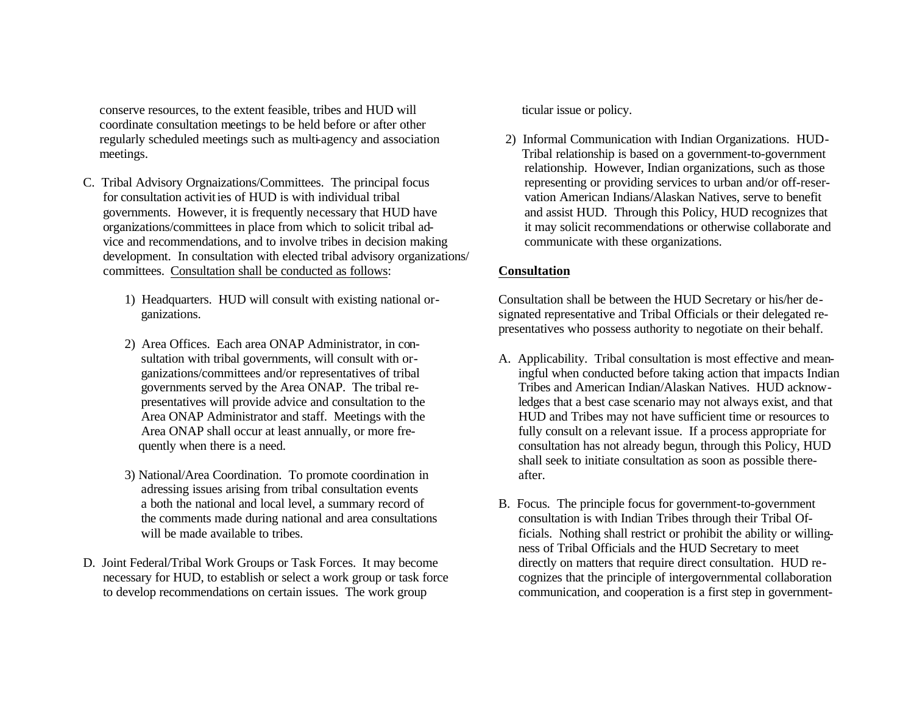conserve resources, to the extent feasible, tribes and HUD will ticular issue or policy. coordinate consultation meetings to be held before or after other regularly scheduled meetings such as multi-agency and association 2) Informal Communication with Indian Organizations. HUD meetings. Tribal relationship is based on a government-to-government

- C. Tribal Advisory Orgnaizations/Committees. The principal focus representing or providing services to urban and/or off-reser for consultation activities of HUD is with individual tribal vation American Indians/Alaskan Natives, serve to benefit governments. However, it is frequently necessary that HUD have and assist HUD. Through this Policy, HUD recognizes that organizations/committees in place from which to solicit tribal ad- it may solicit recommendations or otherwise collaborate and vice and recommendations, and to involve tribes in decision making communicate with these organizations. development. In consultation with elected tribal advisory organizations/ committees. Consultation shall be conducted as follows: **Consultation**
	-
	- 2) Area Offices. Each area ONAP Administrator, in con-
	- 3) National/Area Coordination. To promote coordination in after. adressing issues arising from tribal consultation events
- D. Joint Federal/Tribal Work Groups or Task Forces. It may become directly on matters that require direct consultation. HUD re necessary for HUD, to establish or select a work group or task force cognizes that the principle of intergovernmental collaboration to develop recommendations on certain issues. The work group communication, and cooperation is a first step in government-

relationship. However, Indian organizations, such as those

1) Headquarters. HUD will consult with existing national or- Consultation shall be between the HUD Secretary or his/her de ganizations. signated representative and Tribal Officials or their delegated representatives who possess authority to negotiate on their behalf.

- sultation with tribal governments, will consult with or-<br>A. Applicability. Tribal consultation is most effective and mean ganizations/committees and/or representatives of tribal ingful when conducted before taking action that impacts Indian governments served by the Area ONAP. The tribal re- Tribes and American Indian/Alaskan Natives. HUD acknow presentatives will provide advice and consultation to the ledges that a best case scenario may not always exist, and that Area ONAP Administrator and staff. Meetings with the HUD and Tribes may not have sufficient time or resources to Area ONAP shall occur at least annually, or more fre- fully consult on a relevant issue. If a process appropriate for quently when there is a need.  $\blacksquare$  consultation has not already begun, through this Policy, HUD shall seek to initiate consultation as soon as possible there-
- a both the national and local level, a summary record of B. Focus. The principle focus for government-to-government the comments made during national and area consultations consultation is with Indian Tribes through their Tribal Of will be made available to tribes.  $\qquad \qquad$  ficials. Nothing shall restrict or prohibit the ability or willingness of Tribal Officials and the HUD Secretary to meet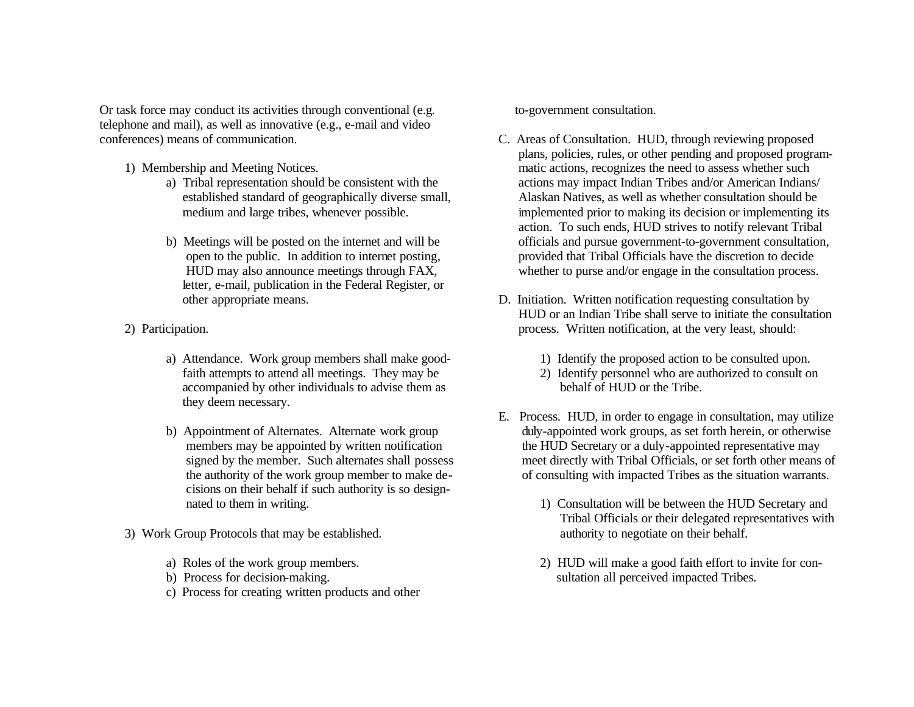Or task force may conduct its activities through conventional (e.g. to-government consultation. telephone and mail), as well as innovative (e.g., e-mail and video conferences) means of communication. C. Areas of Consultation. HUD, through reviewing proposed

- -
	- letter, e-mail, publication in the Federal Register, or
- - a) Attendance. Work group members shall make good- 1) Identify the proposed action to be consulted upon. accompanied by other individuals to advise them as behalf of HUD or the Tribe. they deem necessary.
	- cisions on their behalf if such authority is so design-
- 3) Work Group Protocols that may be established. authority to negotiate on their behalf.
	-
	-
	- c) Process for creating written products and other

- plans, policies, rules, or other pending and proposed program-1) Membership and Meeting Notices. matic actions, recognizes the need to assess whether such a) Tribal representation should be consistent with the actions may impact Indian Tribes and/or American Indians/ established standard of geographically diverse small, Alaskan Natives, as well as whether consultation should be medium and large tribes, whenever possible. implemented prior to making its decision or implementing its action. To such ends, HUD strives to notify relevant Tribal b) Meetings will be posted on the internet and will be officials and pursue government-to-government consultation, open to the public. In addition to internet posting, provided that Tribal Officials have the discretion to decide HUD may also announce meetings through FAX, whether to purse and/or engage in the consultation process.
- other appropriate means. D. Initiation. Written notification requesting consultation by HUD or an Indian Tribe shall serve to initiate the consultation 2) Participation. process. Written notification, at the very least, should:
	-
	- faith attempts to attend all meetings. They may be 2) Identify personnel who are authorized to consult on
	- E. Process. HUD, in order to engage in consultation, may utilize b) Appointment of Alternates. Alternate work group duly-appointed work groups, as set forth herein, or otherwise members may be appointed by written notification the HUD Secretary or a duly-appointed representative may signed by the member. Such alternates shall possess meet directly with Tribal Officials, or set forth other means of the authority of the work group member to make de- of consulting with impacted Tribes as the situation warrants.
		- nated to them in writing. 1) Consultation will be between the HUD Secretary and Tribal Officials or their delegated representatives with
	- a) Roles of the work group members. 2) HUD will make a good faith effort to invite for conb) Process for decision-making. Sultation all perceived impacted Tribes.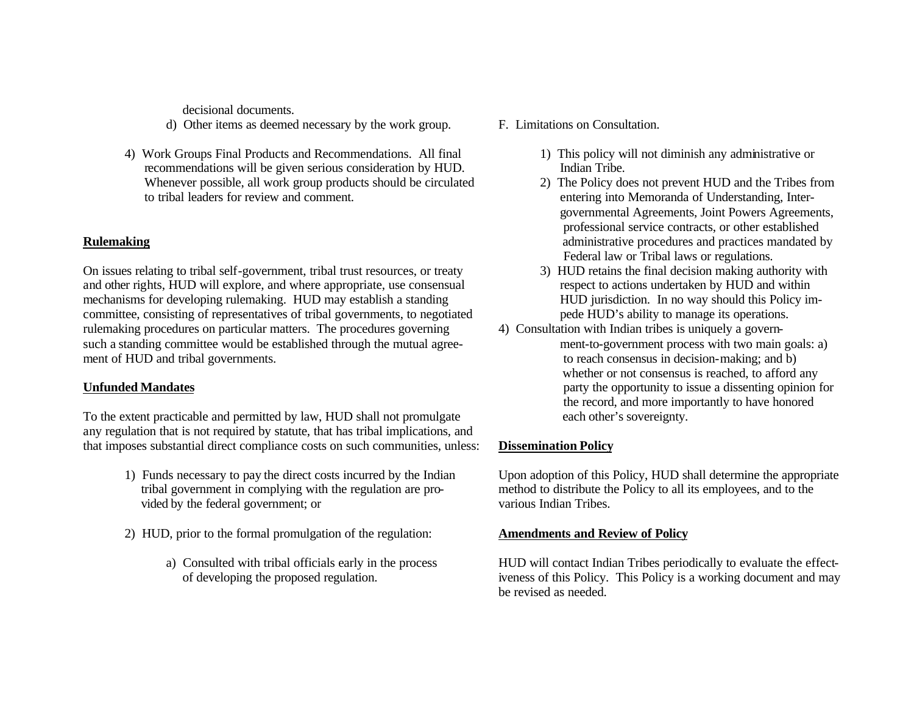decisional documents.

- d) Other items as deemed necessary by the work group. F. Limitations on Consultation.
- 4) Work Groups Final Products and Recommendations. All final 1) This policy will not diminish any administrative or recommendations will be given serious consideration by HUD. Indian Tribe. Whenever possible, all work group products should be circulated 2) The Policy does not prevent HUD and the Tribes from to tribal leaders for review and comment. entering into Memoranda of Understanding, Inter-

On issues relating to tribal self-government, tribal trust resources, or treaty 3) HUD retains the final decision making authority with and other rights, HUD will explore, and where appropriate, use consensual respect to actions undertaken by HUD and within mechanisms for developing rulemaking. HUD may establish a standing HUD jurisdiction. In no way should this Policy imcommittee, consisting of representatives of tribal governments, to negotiated pede HUD's ability to manage its operations. rulemaking procedures on particular matters. The procedures governing 4) Consultation with Indian tribes is uniquely a governsuch a standing committee would be established through the mutual agree-<br>ment-to-government process with two main goals: a) ment of HUD and tribal governments. to reach consensus in decision-making; and b)

To the extent practicable and permitted by law, HUD shall not promulgate each other's sovereignty. any regulation that is not required by statute, that has tribal implications, and that imposes substantial direct compliance costs on such communities, unless: **Dissemination Policy**

- tribal government in complying with the regulation are pro- method to distribute the Policy to all its employees, and to the vided by the federal government; or various Indian Tribes.
- 2) HUD, prior to the formal promulgation of the regulation: **Amendments and Review of Policy**
	-
- -
- governmental Agreements, Joint Powers Agreements, professional service contracts, or other established **Rulemaking** administrative procedures and practices mandated by administrative procedures and practices mandated by Federal law or Tribal laws or regulations.
	-
- whether or not consensus is reached, to afford any **Unfunded Mandates party the opportunity to issue a dissenting opinion for** the record, and more importantly to have honored

1) Funds necessary to pay the direct costs incurred by the Indian Upon adoption of this Policy, HUD shall determine the appropriate

a) Consulted with tribal officials early in the process HUD will contact Indian Tribes periodically to evaluate the effect of developing the proposed regulation. iveness of this Policy. This Policy is a working document and may be revised as needed.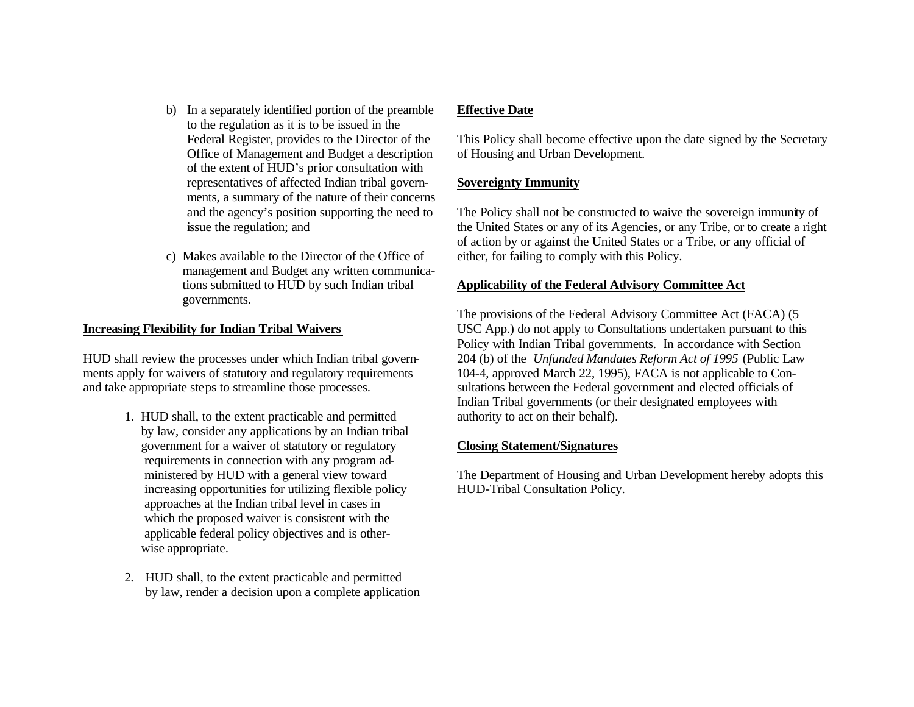- b) In a separately identified portion of the preamble **Effective Date** to the regulation as it is to be issued in the Office of Management and Budget a description of Housing and Urban Development. of the extent of HUD's prior consultation with representatives of affected Indian tribal govern- **Sovereignty Immunity** ments, a summary of the nature of their concerns
- c) Makes available to the Director of the Office of either, for failing to comply with this Policy. management and Budget any written communica governments.

- 1. HUD shall, to the extent practicable and permitted authority to act on their behalf). by law, consider any applications by an Indian tribal government for a waiver of statutory or regulatory **Closing Statement/Signatures** requirements in connection with any program ad increasing opportunities for utilizing flexible policy HUD-Tribal Consultation Policy. approaches at the Indian tribal level in cases in which the proposed waiver is consistent with the applicable federal policy objectives and is other wise appropriate.
- 2. HUD shall, to the extent practicable and permitted by law, render a decision upon a complete application

Federal Register, provides to the Director of the This Policy shall become effective upon the date signed by the Secretary

and the agency's position supporting the need to The Policy shall not be constructed to waive the sovereign immunity of issue the regulation; and the United States or any of its Agencies, or any Tribe, or to create a right of action by or against the United States or a Tribe, or any official of

# tions submitted to HUD by such Indian tribal **Applicability of the Federal Advisory Committee Act**

The provisions of the Federal Advisory Committee Act (FACA) (5 **Increasing Flexibility for Indian Tribal Waivers** USC App.) do not apply to Consultations undertaken pursuant to this Policy with Indian Tribal governments. In accordance with Section HUD shall review the processes under which Indian tribal govern- 204 (b) of the *Unfunded Mandates Reform Act of 1995* (Public Law ments apply for waivers of statutory and regulatory requirements 104-4, approved March 22, 1995), FACA is not applicable to Conand take appropriate steps to streamline those processes. sultations between the Federal government and elected officials of Indian Tribal governments (or their designated employees with

ministered by HUD with a general view toward The Department of Housing and Urban Development hereby adopts this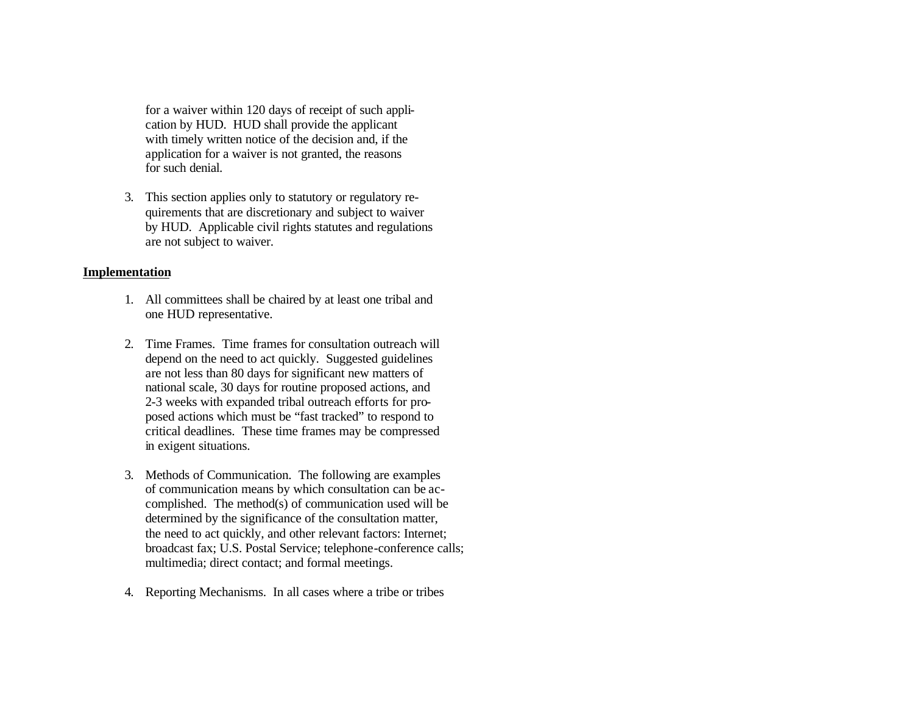for a waiver within 120 days of receipt of such application by HUD. HUD shall provide the applicant with timely written notice of the decision and, if the application for a waiver is not granted, the reasons for such denial.

3. This section applies only to statutory or regulatory requirements that are discretionary and subject to waiver by HUD. Applicable civil rights statutes and regulations are not subject to waiver.

## **Implementation**

- 1. All committees shall be chaired by at least one tribal and one HUD representative.
- 2. Time Frames. Time frames for consultation outreach will depend on the need to act quickly. Suggested guidelines are not less than 80 days for significant new matters of national scale, 30 days for routine proposed actions, and 2-3 weeks with expanded tribal outreach efforts for proposed actions which must be "fast tracked" to respond to critical deadlines. These time frames may be compressed in exigent situations.
- 3. Methods of Communication. The following are examples of communication means by which consultation can be accomplished. The method(s) of communication used will be determined by the significance of the consultation matter, the need to act quickly, and other relevant factors: Internet; broadcast fax; U.S. Postal Service; telephone-conference calls; multimedia; direct contact; and formal meetings.
- 4. Reporting Mechanisms. In all cases where a tribe or tribes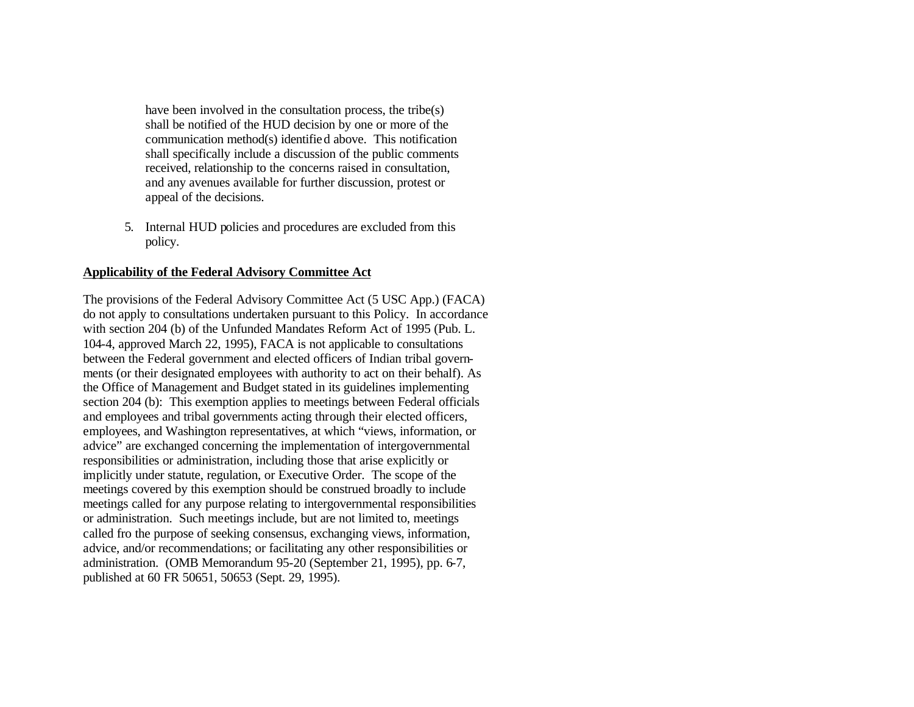have been involved in the consultation process, the tribe(s) shall be notified of the HUD decision by one or more of the communication method(s) identified above. This notification shall specifically include a discussion of the public comments received, relationship to the concerns raised in consultation, and any avenues available for further discussion, protest or appeal of the decisions.

5. Internal HUD policies and procedures are excluded from this policy.

## **Applicability of the Federal Advisory Committee Act**

The provisions of the Federal Advisory Committee Act (5 USC App.) (FACA) do not apply to consultations undertaken pursuant to this Policy. In accordance with section 204 (b) of the Unfunded Mandates Reform Act of 1995 (Pub. L. 104-4, approved March 22, 1995), FACA is not applicable to consultations between the Federal government and elected officers of Indian tribal governments (or their designated employees with authority to act on their behalf). As the Office of Management and Budget stated in its guidelines implementing section 204 (b): This exemption applies to meetings between Federal officials and employees and tribal governments acting through their elected officers, employees, and Washington representatives, at which "views, information, or advice" are exchanged concerning the implementation of intergovernmental responsibilities or administration, including those that arise explicitly or implicitly under statute, regulation, or Executive Order. The scope of the meetings covered by this exemption should be construed broadly to include meetings called for any purpose relating to intergovernmental responsibilities or administration. Such meetings include, but are not limited to, meetings called fro the purpose of seeking consensus, exchanging views, information, advice, and/or recommendations; or facilitating any other responsibilities or administration. (OMB Memorandum 95-20 (September 21, 1995), pp. 6-7, published at 60 FR 50651, 50653 (Sept. 29, 1995).